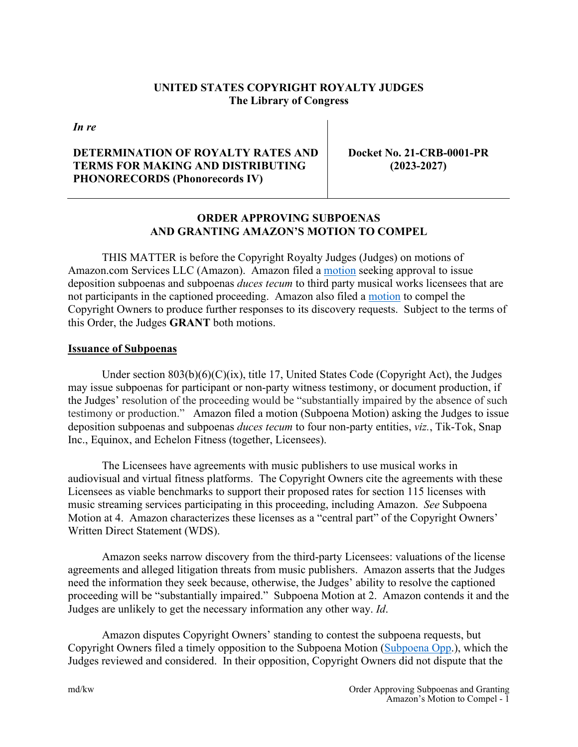# **UNITED STATES COPYRIGHT ROYALTY JUDGES The Library of Congress**

*In re*

### **DETERMINATION OF ROYALTY RATES AND TERMS FOR MAKING AND DISTRIBUTING PHONORECORDS (Phonorecords IV)**

**Docket No. 21-CRB-0001-PR (2023-2027)** 

# **ORDER APPROVING SUBPOENAS AND GRANTING AMAZON'S MOTION TO COMPEL**

 THIS MATTER is before the Copyright Royalty Judges (Judges) on motions of Amazon.com Services LLC (Amazon). Amazon filed a [motion](https://app.crb.gov/document/download/26267) seeking approval to issue deposition subpoenas and subpoenas *duces tecum* to third party musical works licensees that are not participants in the captioned proceeding. Amazon also filed a [motion](https://app.crb.gov/document/download/26366) to compel the Copyright Owners to produce further responses to its discovery requests. Subject to the terms of this Order, the Judges **GRANT** both motions.

#### **Issuance of Subpoenas**

Under section  $803(b)(6)(C)(ix)$ , title 17, United States Code (Copyright Act), the Judges may issue subpoenas for participant or non-party witness testimony, or document production, if the Judges' resolution of the proceeding would be "substantially impaired by the absence of such testimony or production." Amazon filed a motion (Subpoena Motion) asking the Judges to issue deposition subpoenas and subpoenas *duces tecum* to four non-party entities, *viz.*, Tik-Tok, Snap Inc., Equinox, and Echelon Fitness (together, Licensees).

The Licensees have agreements with music publishers to use musical works in audiovisual and virtual fitness platforms. The Copyright Owners cite the agreements with these Licensees as viable benchmarks to support their proposed rates for section 115 licenses with music streaming services participating in this proceeding, including Amazon. *See* Subpoena Motion at 4. Amazon characterizes these licenses as a "central part" of the Copyright Owners' Written Direct Statement (WDS).

Amazon seeks narrow discovery from the third-party Licensees: valuations of the license agreements and alleged litigation threats from music publishers. Amazon asserts that the Judges need the information they seek because, otherwise, the Judges' ability to resolve the captioned proceeding will be "substantially impaired." Subpoena Motion at 2. Amazon contends it and the Judges are unlikely to get the necessary information any other way. *Id*.

 Amazon disputes Copyright Owners' standing to contest the subpoena requests, but Copyright Owners filed a timely opposition to the Subpoena Motion [\(Subpoena Opp.](https://app.crb.gov/document/download/26355)), which the Judges reviewed and considered. In their opposition, Copyright Owners did not dispute that the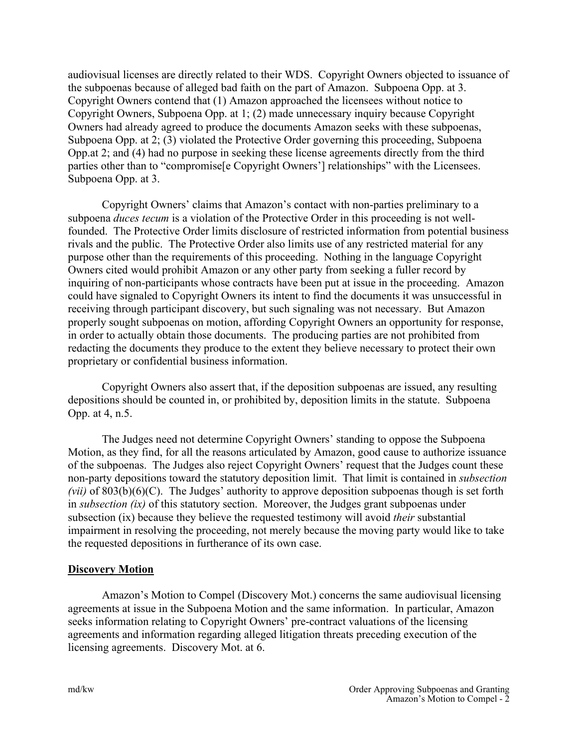audiovisual licenses are directly related to their WDS. Copyright Owners objected to issuance of the subpoenas because of alleged bad faith on the part of Amazon. Subpoena Opp. at 3. Copyright Owners contend that (1) Amazon approached the licensees without notice to Copyright Owners, Subpoena Opp. at 1; (2) made unnecessary inquiry because Copyright Owners had already agreed to produce the documents Amazon seeks with these subpoenas, Subpoena Opp. at 2; (3) violated the Protective Order governing this proceeding, Subpoena Opp.at 2; and (4) had no purpose in seeking these license agreements directly from the third parties other than to "compromise[e Copyright Owners'] relationships" with the Licensees. Subpoena Opp. at 3.

 Copyright Owners' claims that Amazon's contact with non-parties preliminary to a subpoena *duces tecum* is a violation of the Protective Order in this proceeding is not wellfounded. The Protective Order limits disclosure of restricted information from potential business rivals and the public. The Protective Order also limits use of any restricted material for any purpose other than the requirements of this proceeding. Nothing in the language Copyright Owners cited would prohibit Amazon or any other party from seeking a fuller record by inquiring of non-participants whose contracts have been put at issue in the proceeding. Amazon could have signaled to Copyright Owners its intent to find the documents it was unsuccessful in receiving through participant discovery, but such signaling was not necessary. But Amazon properly sought subpoenas on motion, affording Copyright Owners an opportunity for response, in order to actually obtain those documents. The producing parties are not prohibited from redacting the documents they produce to the extent they believe necessary to protect their own proprietary or confidential business information.

 Copyright Owners also assert that, if the deposition subpoenas are issued, any resulting depositions should be counted in, or prohibited by, deposition limits in the statute. Subpoena Opp. at 4, n.5.

 The Judges need not determine Copyright Owners' standing to oppose the Subpoena Motion, as they find, for all the reasons articulated by Amazon, good cause to authorize issuance of the subpoenas. The Judges also reject Copyright Owners' request that the Judges count these non-party depositions toward the statutory deposition limit. That limit is contained in *subsection (vii)* of 803(b)(6)(C). The Judges' authority to approve deposition subpoenas though is set forth in *subsection (ix)* of this statutory section. Moreover, the Judges grant subpoenas under subsection (ix) because they believe the requested testimony will avoid *their* substantial impairment in resolving the proceeding, not merely because the moving party would like to take the requested depositions in furtherance of its own case.

#### **Discovery Motion**

 Amazon's Motion to Compel (Discovery Mot.) concerns the same audiovisual licensing agreements at issue in the Subpoena Motion and the same information. In particular, Amazon seeks information relating to Copyright Owners' pre-contract valuations of the licensing agreements and information regarding alleged litigation threats preceding execution of the licensing agreements. Discovery Mot. at 6.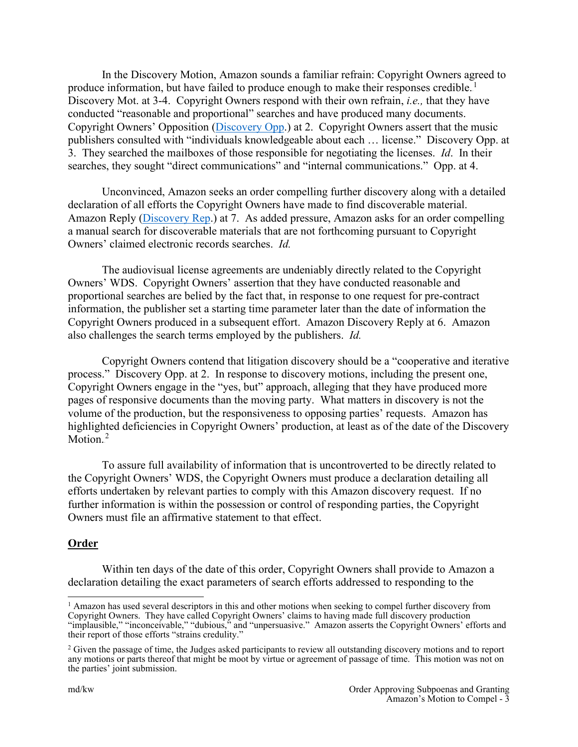In the Discovery Motion, Amazon sounds a familiar refrain: Copyright Owners agreed to produce information, but have failed to produce enough to make their responses credible.<sup>1</sup> Discovery Mot. at 3-4. Copyright Owners respond with their own refrain, *i.e.,* that they have conducted "reasonable and proportional" searches and have produced many documents. Copyright Owners' Opposition [\(Discovery Opp.](https://app.crb.gov/document/download/26394)) at 2. Copyright Owners assert that the music publishers consulted with "individuals knowledgeable about each … license." Discovery Opp. at 3. They searched the mailboxes of those responsible for negotiating the licenses. *Id*. In their searches, they sought "direct communications" and "internal communications." Opp. at 4.

 Unconvinced, Amazon seeks an order compelling further discovery along with a detailed declaration of all efforts the Copyright Owners have made to find discoverable material. Amazon Reply [\(Discovery Rep.](https://app.crb.gov/document/download/26426)) at 7. As added pressure, Amazon asks for an order compelling a manual search for discoverable materials that are not forthcoming pursuant to Copyright Owners' claimed electronic records searches. *Id.*

 The audiovisual license agreements are undeniably directly related to the Copyright Owners' WDS. Copyright Owners' assertion that they have conducted reasonable and proportional searches are belied by the fact that, in response to one request for pre-contract information, the publisher set a starting time parameter later than the date of information the Copyright Owners produced in a subsequent effort. Amazon Discovery Reply at 6. Amazon also challenges the search terms employed by the publishers. *Id.* 

Copyright Owners contend that litigation discovery should be a "cooperative and iterative process." Discovery Opp. at 2. In response to discovery motions, including the present one, Copyright Owners engage in the "yes, but" approach, alleging that they have produced more pages of responsive documents than the moving party. What matters in discovery is not the volume of the production, but the responsiveness to opposing parties' requests. Amazon has highlighted deficiencies in Copyright Owners' production, at least as of the date of the Discovery Motion. $^2$ 

To assure full availability of information that is uncontroverted to be directly related to the Copyright Owners' WDS, the Copyright Owners must produce a declaration detailing all efforts undertaken by relevant parties to comply with this Amazon discovery request. If no further information is within the possession or control of responding parties, the Copyright Owners must file an affirmative statement to that effect.

#### **Order**

 Within ten days of the date of this order, Copyright Owners shall provide to Amazon a declaration detailing the exact parameters of search efforts addressed to responding to the

<sup>&</sup>lt;sup>1</sup> Amazon has used several descriptors in this and other motions when seeking to compel further discovery from Copyright Owners. They have called Copyright Owners' claims to having made full discovery production "implausible," "inconceivable," "dubious," and "unpersuasive." Amazon asserts the Copyright Owners' efforts and their report of those efforts "strains credulity."

<sup>&</sup>lt;sup>2</sup> Given the passage of time, the Judges asked participants to review all outstanding discovery motions and to report any motions or parts thereof that might be moot by virtue or agreement of passage of time. This motion was not on the parties' joint submission.